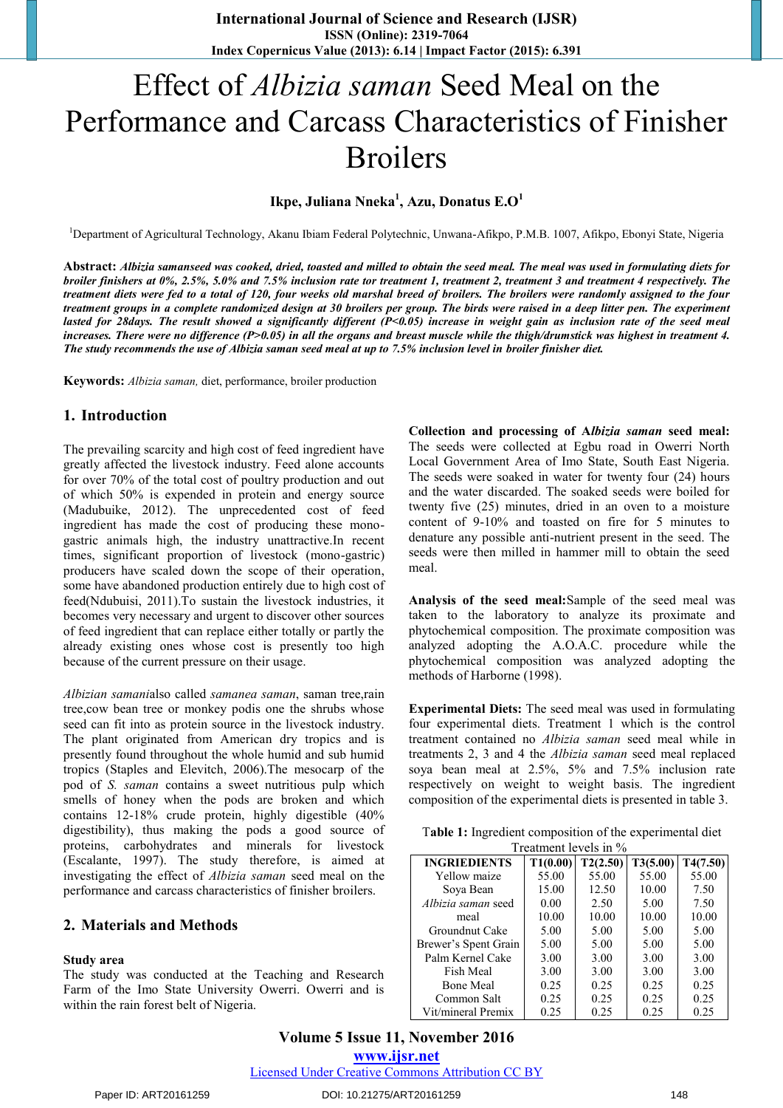# Effect of *Albizia saman* Seed Meal on the Performance and Carcass Characteristics of Finisher Broilers

## **Ikpe, Juliana Nneka<sup>1</sup> , Azu, Donatus E.O<sup>1</sup>**

<sup>1</sup>Department of Agricultural Technology, Akanu Ibiam Federal Polytechnic, Unwana-Afikpo, P.M.B. 1007, Afikpo, Ebonyi State, Nigeria

**Abstract:** *Albizia samanseed was cooked, dried, toasted and milled to obtain the seed meal. The meal was used in formulating diets for broiler finishers at 0%, 2.5%, 5.0% and 7.5% inclusion rate tor treatment 1, treatment 2, treatment 3 and treatment 4 respectively. The treatment diets were fed to a total of 120, four weeks old marshal breed of broilers. The broilers were randomly assigned to the four treatment groups in a complete randomized design at 30 broilers per group. The birds were raised in a deep litter pen. The experiment lasted for 28days. The result showed a significantly different (P<0.05) increase in weight gain as inclusion rate of the seed meal increases. There were no difference (P>0.05) in all the organs and breast muscle while the thigh/drumstick was highest in treatment 4. The study recommends the use of Albizia saman seed meal at up to 7.5% inclusion level in broiler finisher diet.*

**Keywords:** *Albizia saman,* diet, performance, broiler production

### **1. Introduction**

The prevailing scarcity and high cost of feed ingredient have greatly affected the livestock industry. Feed alone accounts for over 70% of the total cost of poultry production and out of which 50% is expended in protein and energy source (Madubuike, 2012). The unprecedented cost of feed ingredient has made the cost of producing these monogastric animals high, the industry unattractive.In recent times, significant proportion of livestock (mono-gastric) producers have scaled down the scope of their operation, some have abandoned production entirely due to high cost of feed(Ndubuisi, 2011).To sustain the livestock industries, it becomes very necessary and urgent to discover other sources of feed ingredient that can replace either totally or partly the already existing ones whose cost is presently too high because of the current pressure on their usage.

*Albizian samani*also called *samanea saman*, saman tree,rain tree,cow bean tree or monkey podis one the shrubs whose seed can fit into as protein source in the livestock industry. The plant originated from American dry tropics and is presently found throughout the whole humid and sub humid tropics (Staples and Elevitch, 2006).The mesocarp of the pod of *S. saman* contains a sweet nutritious pulp which smells of honey when the pods are broken and which contains 12-18% crude protein, highly digestible (40% digestibility), thus making the pods a good source of proteins, carbohydrates and minerals for livestock (Escalante, 1997). The study therefore, is aimed at investigating the effect of *Albizia saman* seed meal on the performance and carcass characteristics of finisher broilers.

### **2. Materials and Methods**

#### **Study area**

The study was conducted at the Teaching and Research Farm of the Imo State University Owerri. Owerri and is within the rain forest belt of Nigeria.

**Collection and processing of A***lbizia saman* **seed meal:**  The seeds were collected at Egbu road in Owerri North Local Government Area of Imo State, South East Nigeria. The seeds were soaked in water for twenty four (24) hours and the water discarded. The soaked seeds were boiled for twenty five (25) minutes, dried in an oven to a moisture content of 9-10% and toasted on fire for 5 minutes to denature any possible anti-nutrient present in the seed. The seeds were then milled in hammer mill to obtain the seed meal.

**Analysis of the seed meal:**Sample of the seed meal was taken to the laboratory to analyze its proximate and phytochemical composition. The proximate composition was analyzed adopting the A.O.A.C. procedure while the phytochemical composition was analyzed adopting the methods of Harborne (1998).

**Experimental Diets:** The seed meal was used in formulating four experimental diets. Treatment 1 which is the control treatment contained no *Albizia saman* seed meal while in treatments 2, 3 and 4 the *Albizia saman* seed meal replaced soya bean meal at 2.5%, 5% and 7.5% inclusion rate respectively on weight to weight basis. The ingredient composition of the experimental diets is presented in table 3.

| Table 1: Ingredient composition of the experimental diet |  |
|----------------------------------------------------------|--|
| Treatment levels in $\%$                                 |  |

| <b>INGRIEDIENTS</b>  | T1(0.00) | T2(2.50) | T3(5.00) | T4(7.50) |
|----------------------|----------|----------|----------|----------|
| Yellow maize         | 55.00    | 55.00    | 55.00    | 55.00    |
| Soya Bean            | 15.00    | 12.50    | 10.00    | 7.50     |
| Albizia saman seed   | 0.00     | 2.50     | 5.00     | 7.50     |
| meal                 | 10.00    | 10.00    | 10.00    | 10.00    |
| Groundnut Cake       | 5.00     | 5.00     | 5.00     | 5.00     |
| Brewer's Spent Grain | 5.00     | 5.00     | 5.00     | 5.00     |
| Palm Kernel Cake     | 3.00     | 3.00     | 3.00     | 3.00     |
| Fish Meal            | 3.00     | 3.00     | 3.00     | 3.00     |
| <b>Bone Meal</b>     | 0.25     | 0.25     | 0.25     | 0.25     |
| Common Salt          | 0.25     | 0.25     | 0.25     | 0.25     |
| Vit/mineral Premix   | 0.25     | 0.25     | 0.25     | 0.25     |

**Volume 5 Issue 11, November 2016 www.ijsr.net**

Licensed Under Creative Commons Attribution CC BY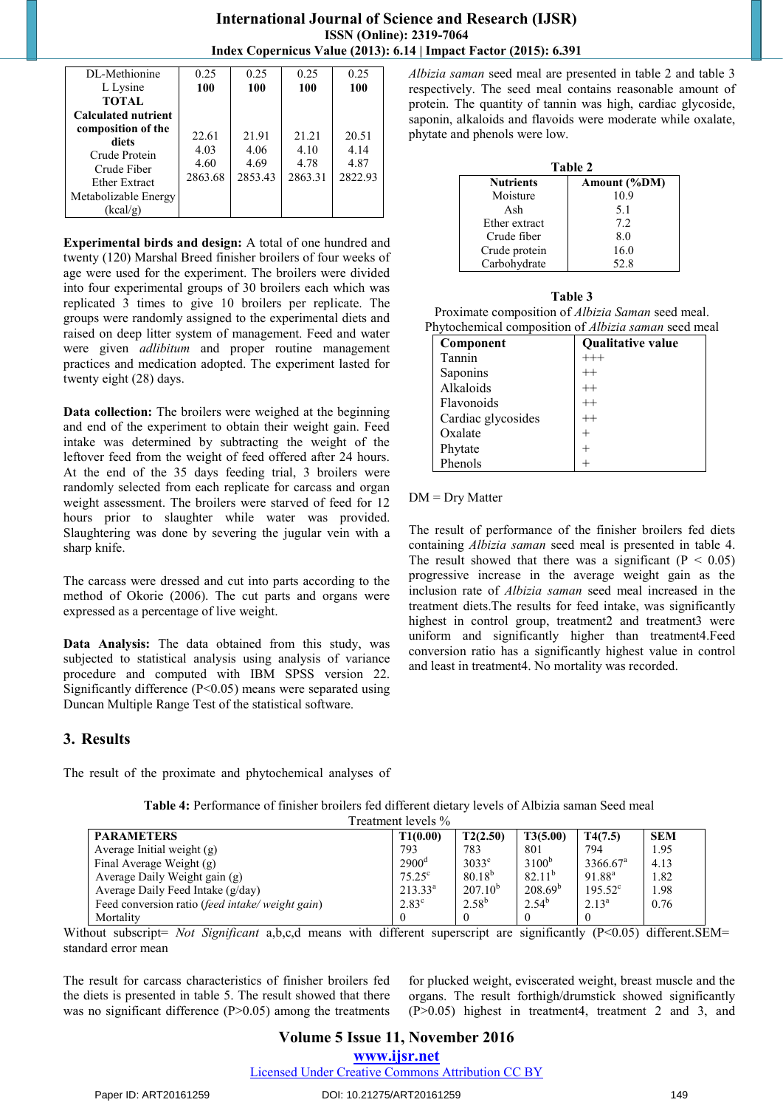## **International Journal of Science and Research (IJSR) ISSN (Online): 2319-7064 Index Copernicus Value (2013): 6.14 | Impact Factor (2015): 6.391**

**Experimental birds and design:** A total of one hundred and twenty (120) Marshal Breed finisher broilers of four weeks of age were used for the experiment. The broilers were divided into four experimental groups of 30 broilers each which was replicated 3 times to give 10 broilers per replicate. The groups were randomly assigned to the experimental diets and raised on deep litter system of management. Feed and water were given *adlibitum* and proper routine management practices and medication adopted. The experiment lasted for twenty eight (28) days.

**Data collection:** The broilers were weighed at the beginning and end of the experiment to obtain their weight gain. Feed intake was determined by subtracting the weight of the leftover feed from the weight of feed offered after 24 hours. At the end of the 35 days feeding trial, 3 broilers were randomly selected from each replicate for carcass and organ weight assessment. The broilers were starved of feed for 12 hours prior to slaughter while water was provided. Slaughtering was done by severing the jugular vein with a sharp knife.

The carcass were dressed and cut into parts according to the method of Okorie (2006). The cut parts and organs were expressed as a percentage of live weight.

**Data Analysis:** The data obtained from this study, was subjected to statistical analysis using analysis of variance procedure and computed with IBM SPSS version 22. Significantly difference (P<0.05) means were separated using Duncan Multiple Range Test of the statistical software.

### **3. Results**

The result of the proximate and phytochemical analyses of

| Treatment levels %                                              |                   |                |             |                      |            |
|-----------------------------------------------------------------|-------------------|----------------|-------------|----------------------|------------|
| <b>PARAMETERS</b>                                               | T1(0.00)          | T2(2.50)       | T3(5.00)    | T4(7.5)              | <b>SEM</b> |
| Average Initial weight $(g)$                                    | 793               | 783            | 801         | 794                  | 1.95       |
| Final Average Weight (g)                                        | 2900 <sup>d</sup> | $3033^{\circ}$ | $3100^{b}$  | 3366.67 <sup>a</sup> | 4.13       |
| Average Daily Weight gain (g)                                   | $75.25^{\circ}$   | $80.18^{b}$    | $82.11^{b}$ | $91.88^{\rm a}$      | 1.82       |
| Average Daily Feed Intake (g/day)                               | $213.33^{a}$      | $207.10^{b}$   | $208.69^b$  | $195.52^{\circ}$     | 1.98       |
| Feed conversion ratio <i>(feed intake</i> / <i>weight gain)</i> | $2.83^{\circ}$    | $2.58^{b}$     | $2.54^{b}$  | $2.13^{\circ}$       | 0.76       |
| Mortality                                                       | $\theta$          |                |             |                      |            |

**Table 4:** Performance of finisher broilers fed different dietary levels of Albizia saman Seed meal

*Albizia saman* seed meal are presented in table 2 and table 3 respectively. The seed meal contains reasonable amount of protein. The quantity of tannin was high, cardiac glycoside, saponin, alkaloids and flavoids were moderate while oxalate, phytate and phenols were low.

| Table 2          |              |  |  |
|------------------|--------------|--|--|
| <b>Nutrients</b> | Amount (%DM) |  |  |
| Moisture         | 10.9         |  |  |
| Ash              | 5.1          |  |  |
| Ether extract    | 7.2          |  |  |
| Crude fiber      | 8.0          |  |  |
| Crude protein    | 16.0         |  |  |
| Carbohydrate     | 52.8         |  |  |

| Table 3                                                     |                   |  |
|-------------------------------------------------------------|-------------------|--|
| Proximate composition of <i>Albizia Saman</i> seed meal.    |                   |  |
| Phytochemical composition of <i>Albizia saman</i> seed meal |                   |  |
| Component                                                   | Qualitative value |  |

| сошронене          | Vuantative value |
|--------------------|------------------|
| Tannin             | $^{+++}$         |
| Saponins           | $^{++}$          |
| Alkaloids          | $^{++}$          |
| Flavonoids         | $^{++}$          |
| Cardiac glycosides | $++$             |
| Oxalate            |                  |
| Phytate            |                  |
| Phenols            |                  |

#### DM = Dry Matter

The result of performance of the finisher broilers fed diets containing *Albizia saman* seed meal is presented in table 4. The result showed that there was a significant ( $P < 0.05$ ) progressive increase in the average weight gain as the inclusion rate of *Albizia saman* seed meal increased in the treatment diets.The results for feed intake, was significantly highest in control group, treatment2 and treatment3 were uniform and significantly higher than treatment4.Feed conversion ratio has a significantly highest value in control and least in treatment4. No mortality was recorded.

Without subscript= *Not Significant* a,b,c,d means with different superscript are significantly (P<0.05) different.SEM= standard error mean

The result for carcass characteristics of finisher broilers fed the diets is presented in table 5. The result showed that there was no significant difference (P>0.05) among the treatments for plucked weight, eviscerated weight, breast muscle and the organs. The result forthigh/drumstick showed significantly (P>0.05) highest in treatment4, treatment 2 and 3, and

#### Paper ID: ART20161259 DOI: 10.21275/ART20161259 149